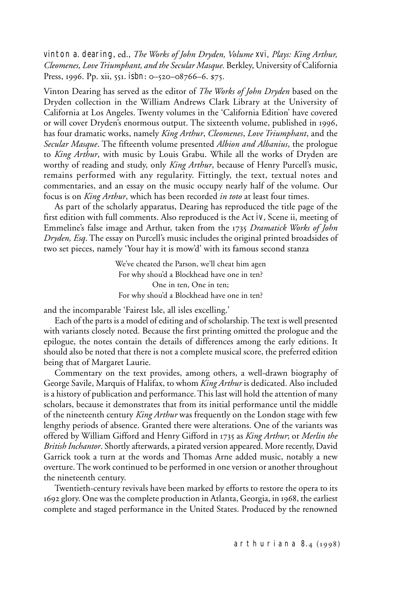vinton a. dearing, ed., *The Works of John Dryden, Volume* xvi*, Plays: King Arthur, Cleomenes, Love Triumphant, and the Secular Masque.* Berkley, University of California Press, 1996. Pp. xii, 551. isbn: 0–520–08766–6. \$75.

Vinton Dearing has served as the editor of *The Works of John Dryden* based on the Dryden collection in the William Andrews Clark Library at the University of California at Los Angeles. Twenty volumes in the 'California Edition' have covered or will cover Dryden's enormous output. The sixteenth volume, published in 1996, has four dramatic works, namely *King Arthur*, *Cleomenes*, *Love Triumphant*, and the *Secular Masque*. The fifteenth volume presented *Albion and Albanius*, the prologue to *King Arthur*, with music by Louis Grabu. While all the works of Dryden are worthy of reading and study, only *King Arthur*, because of Henry Purcell's music, remains performed with any regularity. Fittingly, the text, textual notes and commentaries, and an essay on the music occupy nearly half of the volume. Our focus is on *King Arthur*, which has been recorded *in toto* at least four times.

As part of the scholarly apparatus, Dearing has reproduced the title page of the first edition with full comments. Also reproduced is the Act iv, Scene ii, meeting of Emmeline's false image and Arthur, taken from the 1735 *Dramatick Works of John Dryden, Esq*. The essay on Purcell's music includes the original printed broadsides of two set pieces, namely 'Your hay it is mow'd' with its famous second stanza

> We've cheated the Parson, we'll cheat him agen For why shou'd a Blockhead have one in ten? One in ten, One in ten; For why shou'd a Blockhead have one in ten?

and the incomparable 'Fairest Isle, all isles excelling.'

Each of the parts is a model of editing and of scholarship. The text is well presented with variants closely noted. Because the first printing omitted the prologue and the epilogue, the notes contain the details of differences among the early editions. It should also be noted that there is not a complete musical score, the preferred edition being that of Margaret Laurie.

Commentary on the text provides, among others, a well-drawn biography of George Savile, Marquis of Halifax, to whom *King Arthur* is dedicated. Also included is a history of publication and performance. This last will hold the attention of many scholars, because it demonstrates that from its initial performance until the middle of the nineteenth century *King Arthur* was frequently on the London stage with few lengthy periods of absence. Granted there were alterations. One of the variants was offered by William Gifford and Henry Gifford in 1735 as *King Arthur*; or *Merlin the British Inchantor*. Shortly afterwards, a pirated version appeared. More recently, David Garrick took a turn at the words and Thomas Arne added music, notably a new overture. The work continued to be performed in one version or another throughout the nineteenth century.

Twentieth-century revivals have been marked by efforts to restore the opera to its 1692 glory. One was the complete production in Atlanta, Georgia, in 1968, the earliest complete and staged performance in the United States. Produced by the renowned